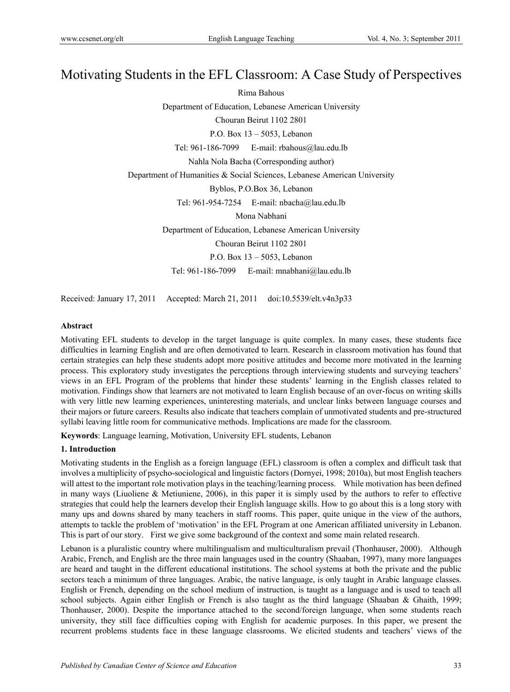# Motivating Students in the EFL Classroom: A Case Study of Perspectives

Rima Bahous Department of Education, Lebanese American University Chouran Beirut 1102 2801 P.O. Box 13 – 5053, Lebanon Tel: 961-186-7099 E-mail: rbahous@lau.edu.lb Nahla Nola Bacha (Corresponding author) Department of Humanities & Social Sciences, Lebanese American University Byblos, P.O.Box 36, Lebanon Tel: 961-954-7254 E-mail: nbacha@lau.edu.lb Mona Nabhani Department of Education, Lebanese American University Chouran Beirut 1102 2801 P.O. Box 13 – 5053, Lebanon Tel: 961-186-7099 E-mail: mnabhani@lau.edu.lb

Received: January 17, 2011 Accepted: March 21, 2011 doi:10.5539/elt.v4n3p33

### **Abstract**

Motivating EFL students to develop in the target language is quite complex. In many cases, these students face difficulties in learning English and are often demotivated to learn. Research in classroom motivation has found that certain strategies can help these students adopt more positive attitudes and become more motivated in the learning process. This exploratory study investigates the perceptions through interviewing students and surveying teachers' views in an EFL Program of the problems that hinder these students' learning in the English classes related to motivation. Findings show that learners are not motivated to learn English because of an over-focus on writing skills with very little new learning experiences, uninteresting materials, and unclear links between language courses and their majors or future careers. Results also indicate that teachers complain of unmotivated students and pre-structured syllabi leaving little room for communicative methods. Implications are made for the classroom.

**Keywords**: Language learning, Motivation, University EFL students, Lebanon

### **1. Introduction**

Motivating students in the English as a foreign language (EFL) classroom is often a complex and difficult task that involves a multiplicity of psycho-sociological and linguistic factors (Dornyei, 1998; 2010a), but most English teachers will attest to the important role motivation plays in the teaching/learning process. While motivation has been defined in many ways (Liuoliene  $\&$  Metiuniene, 2006), in this paper it is simply used by the authors to refer to effective strategies that could help the learners develop their English language skills. How to go about this is a long story with many ups and downs shared by many teachers in staff rooms. This paper, quite unique in the view of the authors, attempts to tackle the problem of 'motivation' in the EFL Program at one American affiliated university in Lebanon. This is part of our story. First we give some background of the context and some main related research.

Lebanon is a pluralistic country where multilingualism and multiculturalism prevail (Thonhauser, 2000). Although Arabic, French, and English are the three main languages used in the country (Shaaban, 1997), many more languages are heard and taught in the different educational institutions. The school systems at both the private and the public sectors teach a minimum of three languages. Arabic, the native language, is only taught in Arabic language classes. English or French, depending on the school medium of instruction, is taught as a language and is used to teach all school subjects. Again either English or French is also taught as the third language (Shaaban & Ghaith, 1999; Thonhauser, 2000). Despite the importance attached to the second/foreign language, when some students reach university, they still face difficulties coping with English for academic purposes. In this paper, we present the recurrent problems students face in these language classrooms. We elicited students and teachers' views of the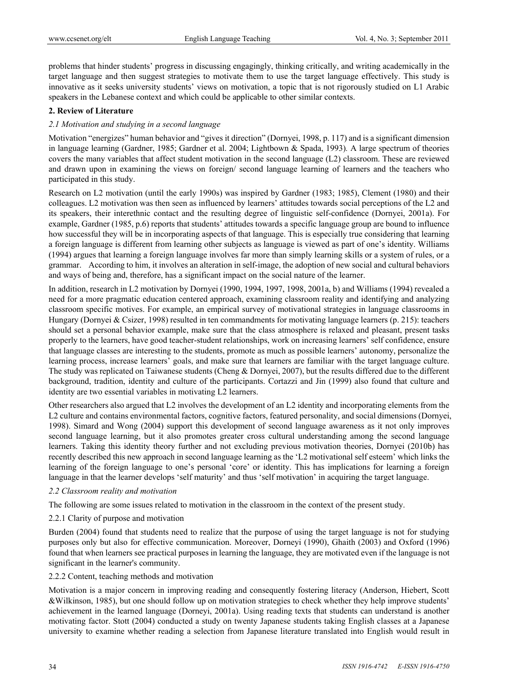problems that hinder students' progress in discussing engagingly, thinking critically, and writing academically in the target language and then suggest strategies to motivate them to use the target language effectively. This study is innovative as it seeks university students' views on motivation, a topic that is not rigorously studied on L1 Arabic speakers in the Lebanese context and which could be applicable to other similar contexts.

### **2. Review of Literature**

### *2.1 Motivation and studying in a second language*

Motivation "energizes" human behavior and "gives it direction" (Dornyei, 1998, p. 117) and is a significant dimension in language learning (Gardner, 1985; Gardner et al. 2004; Lightbown & Spada, 1993)*.* A large spectrum of theories covers the many variables that affect student motivation in the second language (L2) classroom. These are reviewed and drawn upon in examining the views on foreign/ second language learning of learners and the teachers who participated in this study.

Research on L2 motivation (until the early 1990s) was inspired by Gardner (1983; 1985), Clement (1980) and their colleagues. L2 motivation was then seen as influenced by learners' attitudes towards social perceptions of the L2 and its speakers, their interethnic contact and the resulting degree of linguistic self-confidence (Dornyei, 2001a). For example, Gardner (1985, p.6) reports that students' attitudes towards a specific language group are bound to influence how successful they will be in incorporating aspects of that language. This is especially true considering that learning a foreign language is different from learning other subjects as language is viewed as part of one's identity. Williams (1994) argues that learning a foreign language involves far more than simply learning skills or a system of rules, or a grammar. According to him, it involves an alteration in self-image, the adoption of new social and cultural behaviors and ways of being and, therefore, has a significant impact on the social nature of the learner.

In addition, research in L2 motivation by Dornyei (1990, 1994, 1997, 1998, 2001a, b) and Williams (1994) revealed a need for a more pragmatic education centered approach, examining classroom reality and identifying and analyzing classroom specific motives. For example, an empirical survey of motivational strategies in language classrooms in Hungary (Dornyei & Csizer, 1998) resulted in ten commandments for motivating language learners (p. 215): teachers should set a personal behavior example, make sure that the class atmosphere is relaxed and pleasant, present tasks properly to the learners, have good teacher-student relationships, work on increasing learners' self confidence, ensure that language classes are interesting to the students, promote as much as possible learners' autonomy, personalize the learning process, increase learners' goals, and make sure that learners are familiar with the target language culture. The study was replicated on Taiwanese students (Cheng & Dornyei, 2007), but the results differed due to the different background, tradition, identity and culture of the participants. Cortazzi and Jin (1999) also found that culture and identity are two essential variables in motivating L2 learners.

Other researchers also argued that L2 involves the development of an L2 identity and incorporating elements from the L2 culture and contains environmental factors, cognitive factors, featured personality, and social dimensions (Dornyei, 1998). Simard and Wong (2004) support this development of second language awareness as it not only improves second language learning, but it also promotes greater cross cultural understanding among the second language learners. Taking this identity theory further and not excluding previous motivation theories, Dornyei (2010b) has recently described this new approach in second language learning as the 'L2 motivational self esteem' which links the learning of the foreign language to one's personal 'core' or identity. This has implications for learning a foreign language in that the learner develops 'self maturity' and thus 'self motivation' in acquiring the target language.

### *2.2 Classroom reality and motivation*

The following are some issues related to motivation in the classroom in the context of the present study.

### 2.2.1 Clarity of purpose and motivation

Burden (2004) found that students need to realize that the purpose of using the target language is not for studying purposes only but also for effective communication. Moreover, Dorneyi (1990), Ghaith (2003) and Oxford (1996) found that when learners see practical purposes in learning the language, they are motivated even if the language is not significant in the learner's community.

#### 2.2.2 Content, teaching methods and motivation

Motivation is a major concern in improving reading and consequently fostering literacy (Anderson, Hiebert, Scott &Wilkinson, 1985), but one should follow up on motivation strategies to check whether they help improve students' achievement in the learned language (Dorneyi, 2001a). Using reading texts that students can understand is another motivating factor. Stott (2004) conducted a study on twenty Japanese students taking English classes at a Japanese university to examine whether reading a selection from Japanese literature translated into English would result in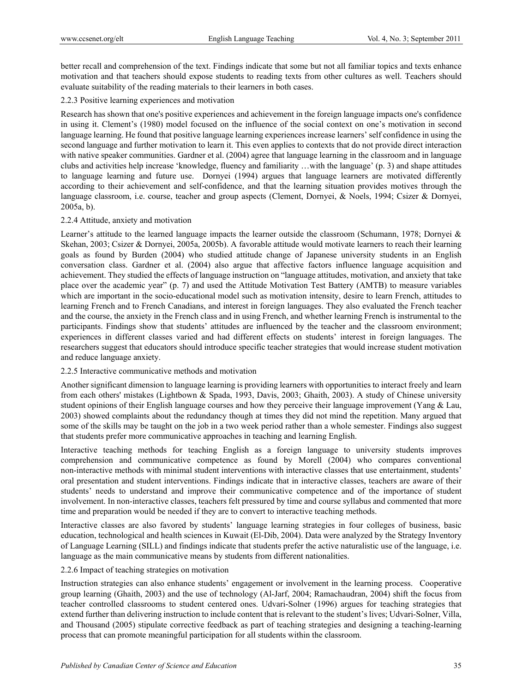better recall and comprehension of the text. Findings indicate that some but not all familiar topics and texts enhance motivation and that teachers should expose students to reading texts from other cultures as well. Teachers should evaluate suitability of the reading materials to their learners in both cases.

### 2.2.3 Positive learning experiences and motivation

Research has shown that one's positive experiences and achievement in the foreign language impacts one's confidence in using it. Clement's (1980) model focused on the influence of the social context on one's motivation in second language learning. He found that positive language learning experiences increase learners' self confidence in using the second language and further motivation to learn it. This even applies to contexts that do not provide direct interaction with native speaker communities. Gardner et al. (2004) agree that language learning in the classroom and in language clubs and activities help increase 'knowledge, fluency and familiarity …with the language' (p. 3) and shape attitudes to language learning and future use. Dornyei (1994) argues that language learners are motivated differently according to their achievement and self-confidence, and that the learning situation provides motives through the language classroom, i.e. course, teacher and group aspects (Clement, Dornyei, & Noels, 1994; Csizer & Dornyei, 2005a, b).

## 2.2.4 Attitude, anxiety and motivation

Learner's attitude to the learned language impacts the learner outside the classroom (Schumann, 1978; Dornyei & Skehan, 2003; Csizer & Dornyei, 2005a, 2005b). A favorable attitude would motivate learners to reach their learning goals as found by Burden (2004) who studied attitude change of Japanese university students in an English conversation class. Gardner et al. (2004) also argue that affective factors influence language acquisition and achievement. They studied the effects of language instruction on "language attitudes, motivation, and anxiety that take place over the academic year" (p. 7) and used the Attitude Motivation Test Battery (AMTB) to measure variables which are important in the socio-educational model such as motivation intensity, desire to learn French, attitudes to learning French and to French Canadians, and interest in foreign languages. They also evaluated the French teacher and the course, the anxiety in the French class and in using French, and whether learning French is instrumental to the participants. Findings show that students' attitudes are influenced by the teacher and the classroom environment; experiences in different classes varied and had different effects on students' interest in foreign languages. The researchers suggest that educators should introduce specific teacher strategies that would increase student motivation and reduce language anxiety.

### 2.2.5 Interactive communicative methods and motivation

Another significant dimension to language learning is providing learners with opportunities to interact freely and learn from each others' mistakes (Lightbown & Spada, 1993, Davis, 2003; Ghaith, 2003). A study of Chinese university student opinions of their English language courses and how they perceive their language improvement (Yang  $\&$  Lau, 2003) showed complaints about the redundancy though at times they did not mind the repetition. Many argued that some of the skills may be taught on the job in a two week period rather than a whole semester. Findings also suggest that students prefer more communicative approaches in teaching and learning English.

Interactive teaching methods for teaching English as a foreign language to university students improves comprehension and communicative competence as found by Morell (2004) who compares conventional non-interactive methods with minimal student interventions with interactive classes that use entertainment, students' oral presentation and student interventions. Findings indicate that in interactive classes, teachers are aware of their students' needs to understand and improve their communicative competence and of the importance of student involvement. In non-interactive classes, teachers felt pressured by time and course syllabus and commented that more time and preparation would be needed if they are to convert to interactive teaching methods.

Interactive classes are also favored by students' language learning strategies in four colleges of business, basic education, technological and health sciences in Kuwait (El-Dib, 2004). Data were analyzed by the Strategy Inventory of Language Learning (SILL) and findings indicate that students prefer the active naturalistic use of the language, i.e. language as the main communicative means by students from different nationalities.

### 2.2.6 Impact of teaching strategies on motivation

Instruction strategies can also enhance students' engagement or involvement in the learning process. Cooperative group learning (Ghaith, 2003) and the use of technology (Al-Jarf, 2004; Ramachaudran, 2004) shift the focus from teacher controlled classrooms to student centered ones. Udvari-Solner (1996) argues for teaching strategies that extend further than delivering instruction to include content that is relevant to the student's lives; Udvari-Solner, Villa, and Thousand (2005) stipulate corrective feedback as part of teaching strategies and designing a teaching-learning process that can promote meaningful participation for all students within the classroom.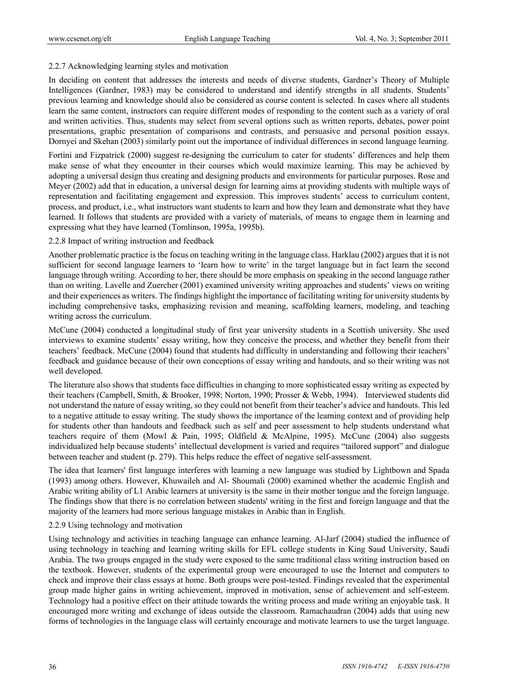### 2.2.7 Acknowledging learning styles and motivation

In deciding on content that addresses the interests and needs of diverse students, Gardner's Theory of Multiple Intelligences (Gardner, 1983) may be considered to understand and identify strengths in all students. Students' previous learning and knowledge should also be considered as course content is selected. In cases where all students learn the same content, instructors can require different modes of responding to the content such as a variety of oral and written activities. Thus, students may select from several options such as written reports, debates, power point presentations, graphic presentation of comparisons and contrasts, and persuasive and personal position essays. Dornyei and Skehan (2003) similarly point out the importance of individual differences in second language learning.

Fortini and Fizpatrick (2000) suggest re-designing the curriculum to cater for students' differences and help them make sense of what they encounter in their courses which would maximize learning. This may be achieved by adopting a universal design thus creating and designing products and environments for particular purposes. Rose and Meyer (2002) add that in education, a universal design for learning aims at providing students with multiple ways of representation and facilitating engagement and expression. This improves students' access to curriculum content, process, and product, i.e., what instructors want students to learn and how they learn and demonstrate what they have learned. It follows that students are provided with a variety of materials, of means to engage them in learning and expressing what they have learned (Tomlinson, 1995a, 1995b).

#### 2.2.8 Impact of writing instruction and feedback

Another problematic practice is the focus on teaching writing in the language class. Harklau (2002) argues that it is not sufficient for second language learners to 'learn how to write' in the target language but in fact learn the second language through writing. According to her, there should be more emphasis on speaking in the second language rather than on writing. Lavelle and Zuercher (2001) examined university writing approaches and students' views on writing and their experiences as writers. The findings highlight the importance of facilitating writing for university students by including comprehensive tasks, emphasizing revision and meaning, scaffolding learners, modeling, and teaching writing across the curriculum.

McCune (2004) conducted a longitudinal study of first year university students in a Scottish university. She used interviews to examine students' essay writing, how they conceive the process, and whether they benefit from their teachers' feedback. McCune (2004) found that students had difficulty in understanding and following their teachers' feedback and guidance because of their own conceptions of essay writing and handouts, and so their writing was not well developed.

The literature also shows that students face difficulties in changing to more sophisticated essay writing as expected by their teachers (Campbell, Smith, & Brooker, 1998; Norton, 1990; Prosser & Webb, 1994). Interviewed students did not understand the nature of essay writing, so they could not benefit from their teacher's advice and handouts. This led to a negative attitude to essay writing. The study shows the importance of the learning context and of providing help for students other than handouts and feedback such as self and peer assessment to help students understand what teachers require of them (Mowl & Pain, 1995; Oldfield & McAlpine, 1995). McCune (2004) also suggests individualized help because students' intellectual development is varied and requires "tailored support" and dialogue between teacher and student (p. 279). This helps reduce the effect of negative self-assessment.

The idea that learners' first language interferes with learning a new language was studied by Lightbown and Spada (1993) among others. However, Khuwaileh and Al- Shoumali (2000) examined whether the academic English and Arabic writing ability of L1 Arabic learners at university is the same in their mother tongue and the foreign language. The findings show that there is no correlation between students' writing in the first and foreign language and that the majority of the learners had more serious language mistakes in Arabic than in English.

#### 2.2.9 Using technology and motivation

Using technology and activities in teaching language can enhance learning. Al-Jarf (2004) studied the influence of using technology in teaching and learning writing skills for EFL college students in King Saud University, Saudi Arabia. The two groups engaged in the study were exposed to the same traditional class writing instruction based on the textbook. However, students of the experimental group were encouraged to use the Internet and computers to check and improve their class essays at home. Both groups were post-tested. Findings revealed that the experimental group made higher gains in writing achievement, improved in motivation, sense of achievement and self-esteem. Technology had a positive effect on their attitude towards the writing process and made writing an enjoyable task. It encouraged more writing and exchange of ideas outside the classroom. Ramachaudran (2004) adds that using new forms of technologies in the language class will certainly encourage and motivate learners to use the target language.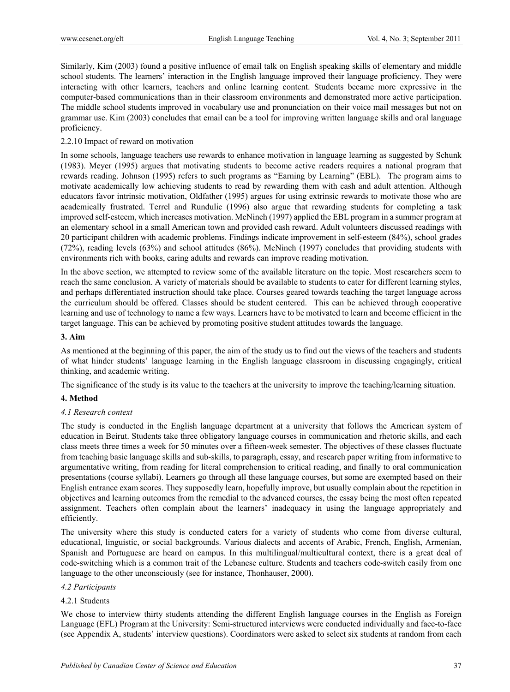Similarly, Kim (2003) found a positive influence of email talk on English speaking skills of elementary and middle school students. The learners' interaction in the English language improved their language proficiency. They were interacting with other learners, teachers and online learning content. Students became more expressive in the computer-based communications than in their classroom environments and demonstrated more active participation. The middle school students improved in vocabulary use and pronunciation on their voice mail messages but not on grammar use. Kim (2003) concludes that email can be a tool for improving written language skills and oral language proficiency.

## 2.2.10 Impact of reward on motivation

In some schools, language teachers use rewards to enhance motivation in language learning as suggested by Schunk (1983). Meyer (1995) argues that motivating students to become active readers requires a national program that rewards reading. Johnson (1995) refers to such programs as "Earning by Learning" (EBL). The program aims to motivate academically low achieving students to read by rewarding them with cash and adult attention. Although educators favor intrinsic motivation, Oldfather (1995) argues for using extrinsic rewards to motivate those who are academically frustrated. Terrel and Rundulic (1996) also argue that rewarding students for completing a task improved self-esteem, which increases motivation. McNinch (1997) applied the EBL program in a summer program at an elementary school in a small American town and provided cash reward. Adult volunteers discussed readings with 20 participant children with academic problems. Findings indicate improvement in self-esteem (84%), school grades (72%), reading levels (63%) and school attitudes (86%). McNinch (1997) concludes that providing students with environments rich with books, caring adults and rewards can improve reading motivation.

In the above section, we attempted to review some of the available literature on the topic. Most researchers seem to reach the same conclusion. A variety of materials should be available to students to cater for different learning styles, and perhaps differentiated instruction should take place. Courses geared towards teaching the target language across the curriculum should be offered. Classes should be student centered. This can be achieved through cooperative learning and use of technology to name a few ways. Learners have to be motivated to learn and become efficient in the target language. This can be achieved by promoting positive student attitudes towards the language.

### **3. Aim**

As mentioned at the beginning of this paper, the aim of the study us to find out the views of the teachers and students of what hinder students' language learning in the English language classroom in discussing engagingly, critical thinking, and academic writing.

The significance of the study is its value to the teachers at the university to improve the teaching/learning situation.

# **4. Method**

### *4.1 Research context*

The study is conducted in the English language department at a university that follows the American system of education in Beirut. Students take three obligatory language courses in communication and rhetoric skills, and each class meets three times a week for 50 minutes over a fifteen-week semester. The objectives of these classes fluctuate from teaching basic language skills and sub-skills, to paragraph, essay, and research paper writing from informative to argumentative writing, from reading for literal comprehension to critical reading, and finally to oral communication presentations (course syllabi). Learners go through all these language courses, but some are exempted based on their English entrance exam scores. They supposedly learn, hopefully improve, but usually complain about the repetition in objectives and learning outcomes from the remedial to the advanced courses, the essay being the most often repeated assignment. Teachers often complain about the learners' inadequacy in using the language appropriately and efficiently.

The university where this study is conducted caters for a variety of students who come from diverse cultural, educational, linguistic, or social backgrounds. Various dialects and accents of Arabic, French, English, Armenian, Spanish and Portuguese are heard on campus. In this multilingual/multicultural context, there is a great deal of code-switching which is a common trait of the Lebanese culture. Students and teachers code-switch easily from one language to the other unconsciously (see for instance, Thonhauser, 2000).

### *4.2 Participants*

# 4.2.1 Students

We chose to interview thirty students attending the different English language courses in the English as Foreign Language (EFL) Program at the University: Semi-structured interviews were conducted individually and face-to-face (see Appendix A, students' interview questions). Coordinators were asked to select six students at random from each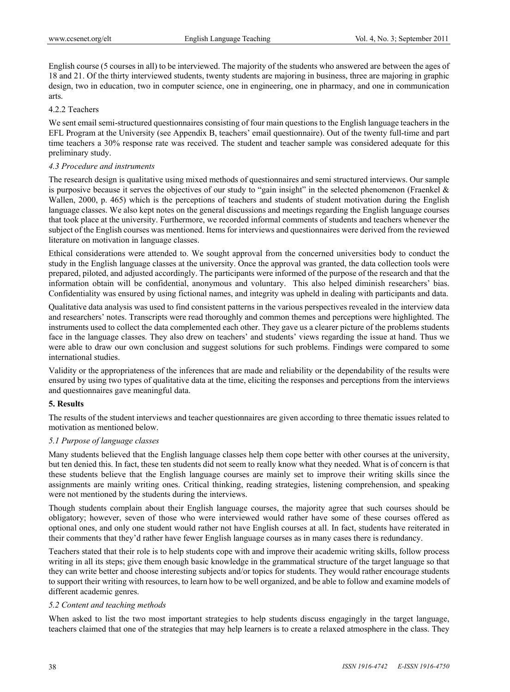English course (5 courses in all) to be interviewed. The majority of the students who answered are between the ages of 18 and 21. Of the thirty interviewed students, twenty students are majoring in business, three are majoring in graphic design, two in education, two in computer science, one in engineering, one in pharmacy, and one in communication arts.

### 4.2.2 Teachers

We sent email semi-structured questionnaires consisting of four main questions to the English language teachers in the EFL Program at the University (see Appendix B, teachers' email questionnaire). Out of the twenty full-time and part time teachers a 30% response rate was received. The student and teacher sample was considered adequate for this preliminary study.

#### *4.3 Procedure and instruments*

The research design is qualitative using mixed methods of questionnaires and semi structured interviews. Our sample is purposive because it serves the objectives of our study to "gain insight" in the selected phenomenon (Fraenkel  $\&$ Wallen, 2000, p. 465) which is the perceptions of teachers and students of student motivation during the English language classes. We also kept notes on the general discussions and meetings regarding the English language courses that took place at the university. Furthermore, we recorded informal comments of students and teachers whenever the subject of the English courses was mentioned. Items for interviews and questionnaires were derived from the reviewed literature on motivation in language classes.

Ethical considerations were attended to. We sought approval from the concerned universities body to conduct the study in the English language classes at the university. Once the approval was granted, the data collection tools were prepared, piloted, and adjusted accordingly. The participants were informed of the purpose of the research and that the information obtain will be confidential, anonymous and voluntary. This also helped diminish researchers' bias. Confidentiality was ensured by using fictional names, and integrity was upheld in dealing with participants and data.

Qualitative data analysis was used to find consistent patterns in the various perspectives revealed in the interview data and researchers' notes. Transcripts were read thoroughly and common themes and perceptions were highlighted. The instruments used to collect the data complemented each other. They gave us a clearer picture of the problems students face in the language classes. They also drew on teachers' and students' views regarding the issue at hand. Thus we were able to draw our own conclusion and suggest solutions for such problems. Findings were compared to some international studies.

Validity or the appropriateness of the inferences that are made and reliability or the dependability of the results were ensured by using two types of qualitative data at the time, eliciting the responses and perceptions from the interviews and questionnaires gave meaningful data.

### **5. Results**

The results of the student interviews and teacher questionnaires are given according to three thematic issues related to motivation as mentioned below.

### *5.1 Purpose of language classes*

Many students believed that the English language classes help them cope better with other courses at the university, but ten denied this. In fact, these ten students did not seem to really know what they needed. What is of concern is that these students believe that the English language courses are mainly set to improve their writing skills since the assignments are mainly writing ones. Critical thinking, reading strategies, listening comprehension, and speaking were not mentioned by the students during the interviews.

Though students complain about their English language courses, the majority agree that such courses should be obligatory; however, seven of those who were interviewed would rather have some of these courses offered as optional ones, and only one student would rather not have English courses at all. In fact, students have reiterated in their comments that they'd rather have fewer English language courses as in many cases there is redundancy.

Teachers stated that their role is to help students cope with and improve their academic writing skills, follow process writing in all its steps; give them enough basic knowledge in the grammatical structure of the target language so that they can write better and choose interesting subjects and/or topics for students. They would rather encourage students to support their writing with resources, to learn how to be well organized, and be able to follow and examine models of different academic genres.

### *5.2 Content and teaching methods*

When asked to list the two most important strategies to help students discuss engagingly in the target language, teachers claimed that one of the strategies that may help learners is to create a relaxed atmosphere in the class. They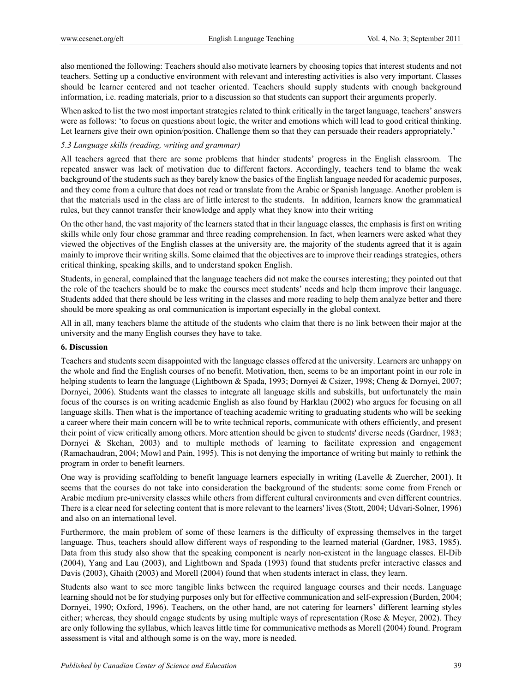also mentioned the following: Teachers should also motivate learners by choosing topics that interest students and not teachers. Setting up a conductive environment with relevant and interesting activities is also very important. Classes should be learner centered and not teacher oriented. Teachers should supply students with enough background information, i.e. reading materials, prior to a discussion so that students can support their arguments properly.

When asked to list the two most important strategies related to think critically in the target language, teachers' answers were as follows: 'to focus on questions about logic, the writer and emotions which will lead to good critical thinking. Let learners give their own opinion/position. Challenge them so that they can persuade their readers appropriately.'

# *5.3 Language skills (reading, writing and grammar)*

All teachers agreed that there are some problems that hinder students' progress in the English classroom. The repeated answer was lack of motivation due to different factors. Accordingly, teachers tend to blame the weak background of the students such as they barely know the basics of the English language needed for academic purposes, and they come from a culture that does not read or translate from the Arabic or Spanish language. Another problem is that the materials used in the class are of little interest to the students. In addition, learners know the grammatical rules, but they cannot transfer their knowledge and apply what they know into their writing

On the other hand, the vast majority of the learners stated that in their language classes, the emphasis is first on writing skills while only four chose grammar and three reading comprehension. In fact, when learners were asked what they viewed the objectives of the English classes at the university are, the majority of the students agreed that it is again mainly to improve their writing skills. Some claimed that the objectives are to improve their readings strategies, others critical thinking, speaking skills, and to understand spoken English.

Students, in general, complained that the language teachers did not make the courses interesting; they pointed out that the role of the teachers should be to make the courses meet students' needs and help them improve their language. Students added that there should be less writing in the classes and more reading to help them analyze better and there should be more speaking as oral communication is important especially in the global context.

All in all, many teachers blame the attitude of the students who claim that there is no link between their major at the university and the many English courses they have to take.

### **6. Discussion**

Teachers and students seem disappointed with the language classes offered at the university. Learners are unhappy on the whole and find the English courses of no benefit. Motivation, then, seems to be an important point in our role in helping students to learn the language (Lightbown & Spada, 1993; Dornyei & Csizer, 1998; Cheng & Dornyei, 2007; Dornyei, 2006). Students want the classes to integrate all language skills and subskills, but unfortunately the main focus of the courses is on writing academic English as also found by Harklau (2002) who argues for focusing on all language skills. Then what is the importance of teaching academic writing to graduating students who will be seeking a career where their main concern will be to write technical reports, communicate with others efficiently, and present their point of view critically among others. More attention should be given to students' diverse needs (Gardner, 1983; Dornyei & Skehan, 2003) and to multiple methods of learning to facilitate expression and engagement (Ramachaudran, 2004; Mowl and Pain, 1995). This is not denying the importance of writing but mainly to rethink the program in order to benefit learners.

One way is providing scaffolding to benefit language learners especially in writing (Lavelle & Zuercher, 2001). It seems that the courses do not take into consideration the background of the students: some come from French or Arabic medium pre-university classes while others from different cultural environments and even different countries. There is a clear need for selecting content that is more relevant to the learners' lives (Stott, 2004; Udvari-Solner, 1996) and also on an international level.

Furthermore, the main problem of some of these learners is the difficulty of expressing themselves in the target language. Thus, teachers should allow different ways of responding to the learned material (Gardner, 1983, 1985). Data from this study also show that the speaking component is nearly non-existent in the language classes. El-Dib (2004), Yang and Lau (2003), and Lightbown and Spada (1993) found that students prefer interactive classes and Davis (2003), Ghaith (2003) and Morell (2004) found that when students interact in class, they learn.

Students also want to see more tangible links between the required language courses and their needs. Language learning should not be for studying purposes only but for effective communication and self-expression (Burden, 2004; Dornyei, 1990; Oxford, 1996). Teachers, on the other hand, are not catering for learners' different learning styles either; whereas, they should engage students by using multiple ways of representation (Rose & Meyer, 2002). They are only following the syllabus, which leaves little time for communicative methods as Morell (2004) found. Program assessment is vital and although some is on the way, more is needed.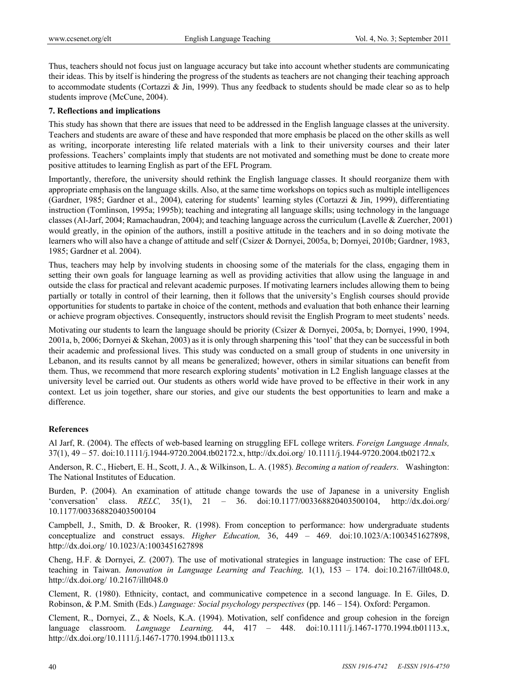Thus, teachers should not focus just on language accuracy but take into account whether students are communicating their ideas. This by itself is hindering the progress of the students as teachers are not changing their teaching approach to accommodate students (Cortazzi & Jin, 1999). Thus any feedback to students should be made clear so as to help students improve (McCune, 2004).

#### **7. Reflections and implications**

This study has shown that there are issues that need to be addressed in the English language classes at the university. Teachers and students are aware of these and have responded that more emphasis be placed on the other skills as well as writing, incorporate interesting life related materials with a link to their university courses and their later professions. Teachers' complaints imply that students are not motivated and something must be done to create more positive attitudes to learning English as part of the EFL Program.

Importantly, therefore, the university should rethink the English language classes. It should reorganize them with appropriate emphasis on the language skills. Also, at the same time workshops on topics such as multiple intelligences (Gardner, 1985; Gardner et al., 2004), catering for students' learning styles (Cortazzi & Jin, 1999), differentiating instruction (Tomlinson, 1995a; 1995b); teaching and integrating all language skills; using technology in the language classes (Al-Jarf, 2004; Ramachaudran, 2004); and teaching language across the curriculum (Lavelle & Zuercher, 2001) would greatly, in the opinion of the authors, instill a positive attitude in the teachers and in so doing motivate the learners who will also have a change of attitude and self (Csizer & Dornyei, 2005a, b; Dornyei, 2010b; Gardner, 1983, 1985; Gardner et al. 2004).

Thus, teachers may help by involving students in choosing some of the materials for the class, engaging them in setting their own goals for language learning as well as providing activities that allow using the language in and outside the class for practical and relevant academic purposes. If motivating learners includes allowing them to being partially or totally in control of their learning, then it follows that the university's English courses should provide opportunities for students to partake in choice of the content, methods and evaluation that both enhance their learning or achieve program objectives. Consequently, instructors should revisit the English Program to meet students' needs.

Motivating our students to learn the language should be priority (Csizer & Dornyei, 2005a, b; Dornyei, 1990, 1994, 2001a, b, 2006; Dornyei & Skehan, 2003) as it is only through sharpening this 'tool' that they can be successful in both their academic and professional lives. This study was conducted on a small group of students in one university in Lebanon, and its results cannot by all means be generalized; however, others in similar situations can benefit from them. Thus, we recommend that more research exploring students' motivation in L2 English language classes at the university level be carried out. Our students as others world wide have proved to be effective in their work in any context. Let us join together, share our stories, and give our students the best opportunities to learn and make a difference.

# **References**

Al Jarf, R. (2004). The effects of web-based learning on struggling EFL college writers. *Foreign Language Annals,* 37(1), 49 – 57. doi:10.1111/j.1944-9720.2004.tb02172.x, http://dx.doi.org/ 10.1111/j.1944-9720.2004.tb02172.x

Anderson, R. C., Hiebert, E. H., Scott, J. A., & Wilkinson, L. A. (1985). *Becoming a nation of readers*. Washington: The National Institutes of Education.

Burden, P. (2004). An examination of attitude change towards the use of Japanese in a university English 'conversation' class. *RELC,* 35(1), 21 – 36. doi:10.1177/003368820403500104, http://dx.doi.org/ 10.1177/003368820403500104

Campbell, J., Smith, D. & Brooker, R. (1998). From conception to performance: how undergraduate students conceptualize and construct essays. *Higher Education,* 36, 449 – 469. doi:10.1023/A:1003451627898, http://dx.doi.org/ 10.1023/A:1003451627898

Cheng, H.F. & Dornyei, Z. (2007). The use of motivational strategies in language instruction: The case of EFL teaching in Taiwan. *Innovation in Language Learning and Teaching,* 1(1), 153 – 174. doi:10.2167/illt048.0, http://dx.doi.org/ 10.2167/illt048.0

Clement, R. (1980). Ethnicity, contact, and communicative competence in a second language. In E. Giles, D. Robinson, & P.M. Smith (Eds.) *Language: Social psychology perspectives* (pp. 146 – 154). Oxford: Pergamon.

Clement, R., Dornyei, Z., & Noels, K.A. (1994). Motivation, self confidence and group cohesion in the foreign language classroom. *Language Learning,* 44, 417 – 448. doi:10.1111/j.1467-1770.1994.tb01113.x, http://dx.doi.org/10.1111/j.1467-1770.1994.tb01113.x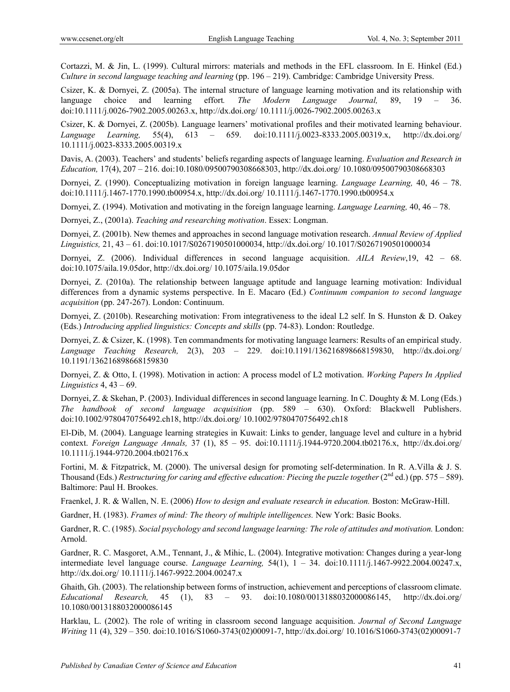Cortazzi, M. & Jin, L. (1999). Cultural mirrors: materials and methods in the EFL classroom. In E. Hinkel (Ed.) *Culture in second language teaching and learning (pp. 196 – 219). Cambridge: Cambridge University Press.* 

Csizer, K. & Dornyei, Z. (2005a). The internal structure of language learning motivation and its relationship with language choice and learning effort*. The Modern Language Journal,* 89, 19 – 36. doi:10.1111/j.0026-7902.2005.00263.x, http://dx.doi.org/ 10.1111/j.0026-7902.2005.00263.x

Csizer, K. & Dornyei, Z. (2005b). Language learners' motivational profiles and their motivated learning behaviour. *Language Learning,* 55(4), 613 – 659. doi:10.1111/j.0023-8333.2005.00319.x, http://dx.doi.org/ 10.1111/j.0023-8333.2005.00319.x

Davis, A. (2003). Teachers' and students' beliefs regarding aspects of language learning. *Evaluation and Research in Education,* 17(4), 207 – 216. doi:10.1080/09500790308668303, http://dx.doi.org/ 10.1080/09500790308668303

Dornyei, Z. (1990). Conceptualizing motivation in foreign language learning. *Language Learning,* 40, 46 – 78. doi:10.1111/j.1467-1770.1990.tb00954.x, http://dx.doi.org/ 10.1111/j.1467-1770.1990.tb00954.x

Dornyei, Z. (1994). Motivation and motivating in the foreign language learning. *Language Learning,* 40, 46 – 78.

Dornyei, Z., (2001a). *Teaching and researching motivation*. Essex: Longman.

Dornyei, Z. (2001b). New themes and approaches in second language motivation research. *Annual Review of Applied Linguistics,* 21, 43 – 61. doi:10.1017/S0267190501000034, http://dx.doi.org/ 10.1017/S0267190501000034

Dornyei, Z. (2006). Individual differences in second language acquisition. *AILA Review*,19, 42 – 68. doi:10.1075/aila.19.05dor, http://dx.doi.org/ 10.1075/aila.19.05dor

Dornyei, Z. (2010a). The relationship between language aptitude and language learning motivation: Individual differences from a dynamic systems perspective. In E. Macaro (Ed.) *Continuum companion to second language acquisition* (pp. 247-267). London: Continuum.

Dornyei, Z. (2010b). Researching motivation: From integrativeness to the ideal L2 self. In S. Hunston & D. Oakey (Eds.) *Introducing applied linguistics: Concepts and skills* (pp. 74-83). London: Routledge.

Dornyei, Z. & Csizer, K. (1998). Ten commandments for motivating language learners: Results of an empirical study. *Language Teaching Research,* 2(3), 203 – 229. doi:10.1191/136216898668159830, http://dx.doi.org/ 10.1191/136216898668159830

Dornyei, Z. & Otto, I. (1998). Motivation in action: A process model of L2 motivation. *Working Papers In Applied Linguistics* 4, 43 – 69.

Dornyei, Z. & Skehan, P. (2003). Individual differences in second language learning. In C. Doughty & M. Long (Eds.) *The handbook of second language acquisition* (pp. 589 – 630). Oxford: Blackwell Publishers. doi:10.1002/9780470756492.ch18, http://dx.doi.org/ 10.1002/9780470756492.ch18

El-Dib, M. (2004). Language learning strategies in Kuwait: Links to gender, language level and culture in a hybrid context. *Foreign Language Annals,* 37 (1), 85 – 95. doi:10.1111/j.1944-9720.2004.tb02176.x, http://dx.doi.org/ 10.1111/j.1944-9720.2004.tb02176.x

Fortini, M. & Fitzpatrick, M. (2000). The universal design for promoting self-determination. In R. A.Villa & J. S. Thousand (Eds.) *Restructuring for caring and effective education: Piecing the puzzle together* (2<sup>nd</sup> ed.) (pp. 575 – 589). Baltimore: Paul H. Brookes.

Fraenkel, J. R. & Wallen, N. E. (2006) *How to design and evaluate research in education.* Boston: McGraw-Hill.

Gardner, H. (1983). *Frames of mind: The theory of multiple intelligences.* New York: Basic Books.

Gardner, R. C. (1985). *Social psychology and second language learning: The role of attitudes and motivation.* London: Arnold.

Gardner, R. C. Masgoret, A.M., Tennant, J., & Mihic, L. (2004). Integrative motivation: Changes during a year-long intermediate level language course. *Language Learning,* 54(1), 1 – 34. doi:10.1111/j.1467-9922.2004.00247.x, http://dx.doi.org/ 10.1111/j.1467-9922.2004.00247.x

Ghaith, Gh. (2003). The relationship between forms of instruction, achievement and perceptions of classroom climate. *Educational Research,* 45 (1), 83 – 93. doi:10.1080/0013188032000086145, http://dx.doi.org/ 10.1080/0013188032000086145

Harklau, L. (2002). The role of writing in classroom second language acquisition. *Journal of Second Language Writing* 11 (4), 329 – 350. doi:10.1016/S1060-3743(02)00091-7, http://dx.doi.org/ 10.1016/S1060-3743(02)00091-7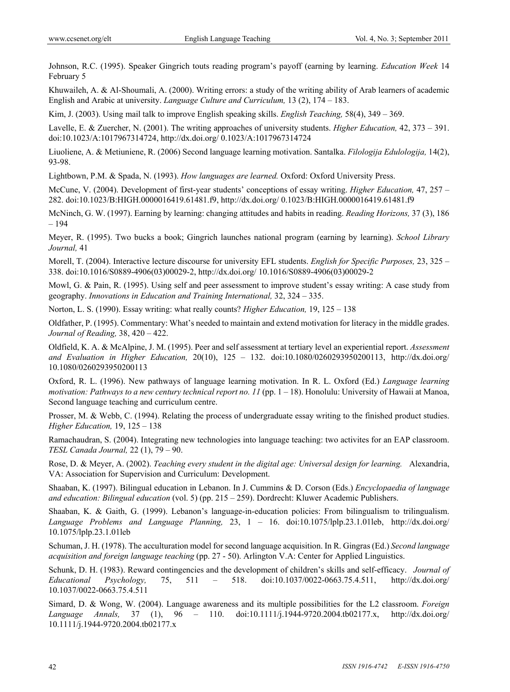Johnson, R.C. (1995). Speaker Gingrich touts reading program's payoff (earning by learning. *Education Week* 14 February 5

Khuwaileh, A. & Al-Shoumali, A. (2000). Writing errors: a study of the writing ability of Arab learners of academic English and Arabic at university. *Language Culture and Curriculum,* 13 (2), 174 – 183.

Kim, J. (2003). Using mail talk to improve English speaking skills. *English Teaching,* 58(4), 349 – 369.

Lavelle, E. & Zuercher, N. (2001). The writing approaches of university students. *Higher Education,* 42, 373 – 391. doi:10.1023/A:1017967314724, http://dx.doi.org/ 0.1023/A:1017967314724

Liuoliene, A. & Metiuniene, R. (2006) Second language learning motivation. Santalka. *Filologija Edulologija,* 14(2), 93-98.

Lightbown, P.M. & Spada, N. (1993). *How languages are learned.* Oxford: Oxford University Press.

McCune, V. (2004). Development of first-year students' conceptions of essay writing. *Higher Education,* 47, 257 – 282. doi:10.1023/B:HIGH.0000016419.61481.f9, http://dx.doi.org/ 0.1023/B:HIGH.0000016419.61481.f9

McNinch, G. W. (1997). Earning by learning: changing attitudes and habits in reading. *Reading Horizons,* 37 (3), 186 – 194

Meyer, R. (1995). Two bucks a book; Gingrich launches national program (earning by learning). *School Library Journal,* 41

Morell, T. (2004). Interactive lecture discourse for university EFL students. *English for Specific Purposes,* 23, 325 – 338. doi:10.1016/S0889-4906(03)00029-2, http://dx.doi.org/ 10.1016/S0889-4906(03)00029-2

Mowl, G. & Pain, R. (1995). Using self and peer assessment to improve student's essay writing: A case study from geography. *Innovations in Education and Training International,* 32, 324 – 335.

Norton, L. S. (1990). Essay writing: what really counts? *Higher Education,* 19, 125 – 138

Oldfather, P. (1995). Commentary: What's needed to maintain and extend motivation for literacy in the middle grades. *Journal of Reading,* 38, 420 – 422.

Oldfield, K. A. & McAlpine, J. M. (1995). Peer and self assessment at tertiary level an experiential report. *Assessment and Evaluation in Higher Education,* 20(10), 125 – 132. doi:10.1080/0260293950200113, http://dx.doi.org/ 10.1080/0260293950200113

Oxford, R. L. (1996). New pathways of language learning motivation. In R. L. Oxford (Ed.) *Language learning motivation: Pathways to a new century technical report no. 11* (pp. 1 – 18). Honolulu: University of Hawaii at Manoa, Second language teaching and curriculum centre.

Prosser, M. & Webb, C. (1994). Relating the process of undergraduate essay writing to the finished product studies. *Higher Education,* 19, 125 – 138

Ramachaudran, S. (2004). Integrating new technologies into language teaching: two activites for an EAP classroom. *TESL Canada Journal,* 22 (1), 79 – 90.

Rose, D. & Meyer, A. (2002). *Teaching every student in the digital age: Universal design for learning.* Alexandria, VA: Association for Supervision and Curriculum: Development.

Shaaban, K. (1997). Bilingual education in Lebanon. In J. Cummins & D. Corson (Eds.) *Encyclopaedia of language and education: Bilingual education* (vol. 5) (pp. 215 – 259). Dordrecht: Kluwer Academic Publishers.

Shaaban, K. & Gaith, G. (1999). Lebanon's language-in-education policies: From bilingualism to trilingualism. *Language Problems and Language Planning,* 23, 1 – 16. doi:10.1075/lplp.23.1.01leb, http://dx.doi.org/ 10.1075/lplp.23.1.01leb

Schuman, J. H. (1978). The acculturation model for second language acquisition. In R. Gingras (Ed.) *Second language acquisition and foreign language teaching* (pp. 27 - 50). Arlington V.A: Center for Applied Linguistics.

Schunk, D. H. (1983). Reward contingencies and the development of children's skills and self-efficacy. *Journal of Educational Psychology,* 75, 511 – 518. doi:10.1037/0022-0663.75.4.511, http://dx.doi.org/ 10.1037/0022-0663.75.4.511

Simard, D. & Wong, W. (2004). Language awareness and its multiple possibilities for the L2 classroom. *Foreign Language Annals,* 37 (1), 96 – 110. doi:10.1111/j.1944-9720.2004.tb02177.x, http://dx.doi.org/ 10.1111/j.1944-9720.2004.tb02177.x